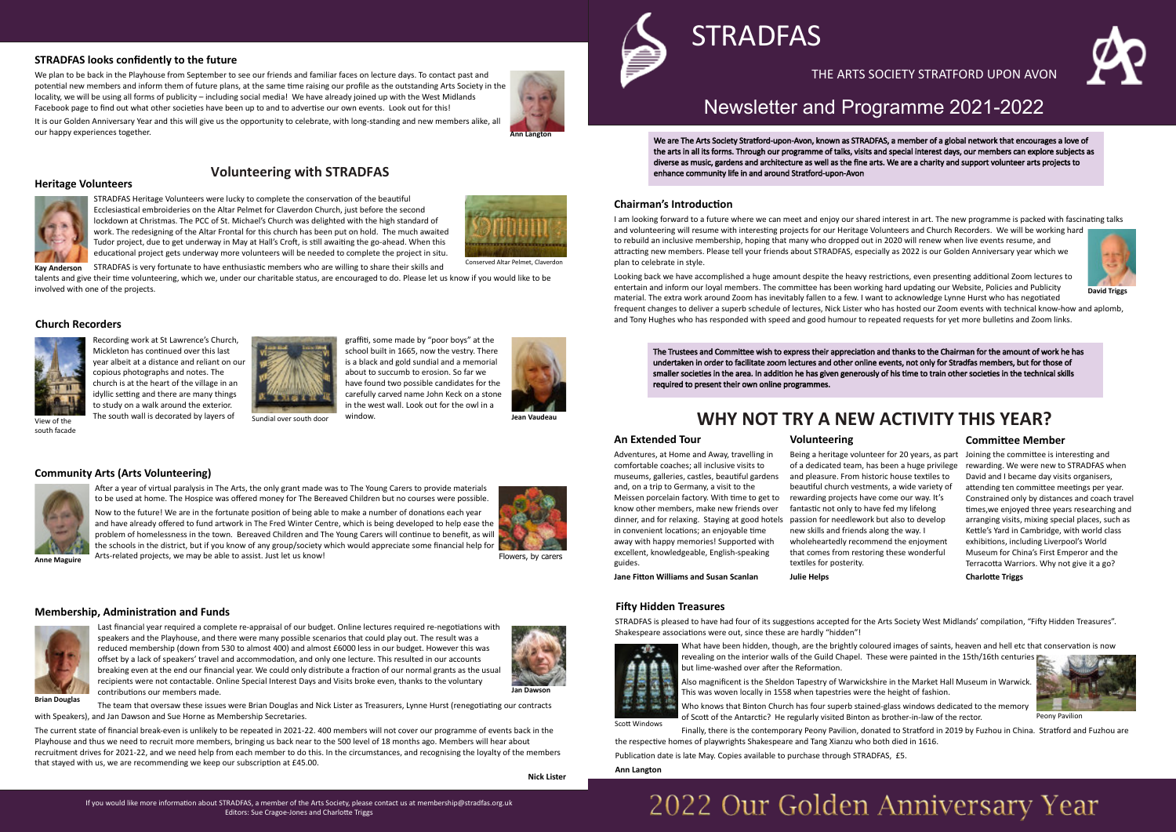## Newsletter and Programme 2021-2022

We are The Arts Society Stratford-upon-Avon, known as STRADFAS, a member of a global network that encourages a love of the arts in all its forms. Through our programme of talks, visits and special interest days, our members can explore subjects as diverse as music, gardens and architecture as well as the fine arts. We are a charity and support volunteer arts projects to enhance community life in and around Stratford-upon-Avon



## THE ARTS SOCIETY STRATFORD UPON AVON



I am looking forward to a future where we can meet and enjoy our shared interest in art. The new programme is packed with fascinating talks



and volunteering will resume with interesting projects for our Heritage Volunteers and Church Recorders. We will be working hard to rebuild an inclusive membership, hoping that many who dropped out in 2020 will renew when live events resume, and attracting new members. Please tell your friends about STRADFAS, especially as 2022 is our Golden Anniversary year which we plan to celebrate in style.

Looking back we have accomplished a huge amount despite the heavy restrictions, even presenting additional Zoom lectures to entertain and inform our loyal members. The committee has been working hard updating our Website, Policies and Publicity material. The extra work around Zoom has inevitably fallen to a few. I want to acknowledge Lynne Hurst who has negotiated frequent changes to deliver a superb schedule of lectures, Nick Lister who has hosted our Zoom events with technical know-how and aplomb, and Tony Hughes who has responded with speed and good humour to repeated requests for yet more bulletins and Zoom links.

The Trustees and Committee wish to express their appreciation and thanks to the Chairman for the amount of work he has undertaken in order to facilitate zoom lectures and other online events, not only for Stradfas members, but for those of smaller societies in the area. In addition he has given generously of his time to train other societies in the technical skills required to present their own online programmes.

## **Fi�y Hidden Treasures**

STRADFAS is pleased to have had four of its suggestions accepted for the Arts Society West Midlands' compilation, "Fifty Hidden Treasures". Shakespeare associations were out, since these are hardly "hidden"!



What have been hidden, though, are the brightly coloured images of saints, heaven and hell etc that conservation is now revealing on the interior walls of the Guild Chapel. These were painted in the 15th/16th centuries but lime-washed over after the Reformation.

Being a heritage volunteer for 20 years, as part Joining the committee is interesting and rewarding. We were new to STRADFAS when David and I became day visits organisers, attending ten committee meetings per year. Constrained only by distances and coach travel times, we enjoyed three years researching and arranging visits, mixing special places, such as Kettle's Yard in Cambridge, with world class exhibitions, including Liverpool's World Museum for China's First Emperor and the Terracotta Warriors. Why not give it a go? **Charlo�e Triggs**

- 
- of Scott of the Antarctic? He regularly visited Binton as brother-in-law of the rector.



Also magnificent is the Sheldon Tapestry of Warwickshire in the Market Hall Museum in Warwick. This was woven locally in 1558 when tapestries were the height of fashion. Who knows that Binton Church has four superb stained-glass windows dedicated to the memory

Scott Windows

Finally, there is the contemporary Peony Pavilion, donated to Stratford in 2019 by Fuzhou in China. Stratford and Fuzhou are the respective homes of playwrights Shakespeare and Tang Xianzu who both died in 1616. Publication date is late May. Copies available to purchase through STRADFAS, £5.

STRADFAS is very fortunate to have enthusiastic members who are willing to share their skills and **Kay Anderson**

Recording work at St Lawrence's Church, Mickleton has continued over this last year albeit at a distance and reliant on our copious photographs and notes. The church is at the heart of the village in an idyllic setting and there are many things to study on a walk around the exterior. View of the South wall is decorated by layers of Sundial over south door



graffiti, some made by "poor boys" at the school built in 1665, now the vestry. There is a black and gold sundial and a memorial about to succumb to erosion. So far we have found two possible candidates for the carefully carved name John Keck on a stone in the west wall. Look out for the owl in a window.

## **Ann Langton**

# 2022 Our Golden Anniversary Year

## **An Extended Tour**

**Chairman's Introduction** 

Adventures, at Home and Away, travelling in comfortable coaches; all inclusive visits to museums, galleries, castles, beau�ful gardens and, on a trip to Germany, a visit to the Meissen porcelain factory. With time to get to know other members, make new friends over dinner, and for relaxing. Staying at good hotels passion for needlework but also to develop in convenient locations; an enjoyable time away with happy memories! Supported with excellent, knowledgeable, English-speaking guides.

Now to the future! We are in the fortunate position of being able to make a number of donations each year and have already offered to fund artwork in The Fred Winter Centre, which is being developed to help ease the problem of homelessness in the town. Bereaved Children and The Young Carers will continue to benefit, as will the schools in the district, but if you know of any group/society which would appreciate some financial help for Arts-related projects, we may be able to assist. Just let us know! **Anne Maguire**

### **Volunteering**

of a dedicated team, has been a huge privilege and pleasure. From historic house textiles to beautiful church vestments, a wide variety of rewarding projects have come our way. It's fantastic not only to have fed my lifelong new skills and friends along the way. I wholeheartedly recommend the enjoyment that comes from restoring these wonderful textiles for posterity. **Julie Helps**

**Jane Fitton Williams and Susan Scanlan** 

The team that oversaw these issues were Brian Douglas and Nick Lister as Treasurers, Lynne Hurst (renegotiating our contracts with Speakers), and Jan Dawson and Sue Horne as Membership Secretaries.

The current state of financial break-even is unlikely to be repeated in 2021-22. 400 members will not cover our programme of events back in the Playhouse and thus we need to recruit more members, bringing us back near to the 500 level of 18 months ago. Members will hear about recruitment drives for 2021-22, and we need help from each member to do this. In the circumstances, and recognising the loyalty of the members that stayed with us, we are recommending we keep our subscription at £45.00.

## **Commi�ee Member**

We plan to be back in the Playhouse from September to see our friends and familiar faces on lecture days. To contact past and potential new members and inform them of future plans, at the same time raising our profile as the outstanding Arts Society in the locality, we will be using all forms of publicity – including social media! We have already joined up with the West Midlands Facebook page to find out what other societies have been up to and to advertise our own events. Look out for this!

It is our Golden Anniversary Year and this will give us the opportunity to celebrate, with long-standing and new members alike, all



**STRADFAS** 

## **WHY NOT TRY A NEW ACTIVITY THIS YEAR?**

Peony Pavilion

**David Triggs**

**Heritage Volunteers**

our happy experiences together.

talents and give their �me volunteering, which we, under our charitable status, are encouraged to do. Please let us know if you would like to be involved with one of the projects.



## **Church Recorders**



south facade

## **Community Arts (Arts Volunteering)**



A�er a year of virtual paralysis in The Arts, the only grant made was to The Young Carers to provide materials to be used at home. The Hospice was offered money for The Bereaved Children but no courses were possible.

**Nick Lister**



Last financial year required a complete re-appraisal of our budget. Online lectures required re-negotiations with speakers and the Playhouse, and there were many possible scenarios that could play out. The result was a reduced membership (down from 530 to almost 400) and almost £6000 less in our budget. However this was offset by a lack of speakers' travel and accommodation, and only one lecture. This resulted in our accounts breaking even at the end our financial year. We could only distribute a fraction of our normal grants as the usual recipients were not contactable. Online Special Interest Days and Visits broke even, thanks to the voluntary contributions our members made.



## **Volunteering with STRADFAS**

STRADFAS Heritage Volunteers were lucky to complete the conservation of the beautiful Ecclesiastical embroideries on the Altar Pelmet for Claverdon Church, just before the second lockdown at Christmas. The PCC of St. Michael's Church was delighted with the high standard of work. The redesigning of the Altar Frontal for this church has been put on hold. The much awaited Tudor project, due to get underway in May at Hall's Croft, is still awaiting the go-ahead. When this educational project gets underway more volunteers will be needed to complete the project in situ.





## **Membership, Administration and Funds**

## **STRADFAS looks confidently to the future**